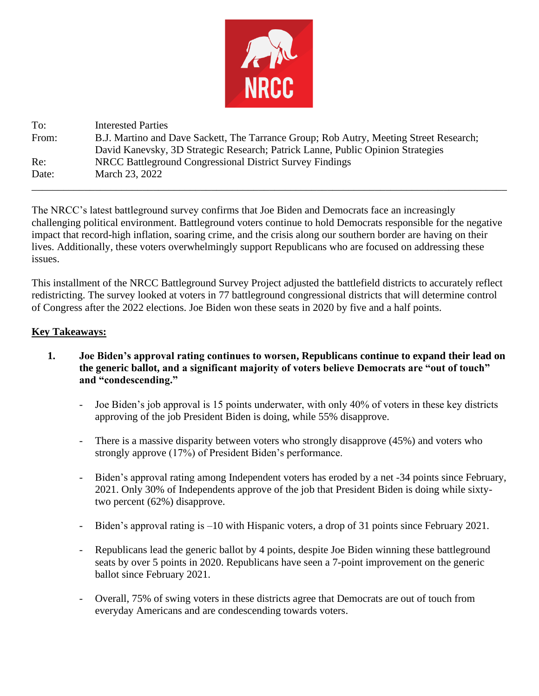

To: Interested Parties From: B.J. Martino and Dave Sackett, The Tarrance Group; Rob Autry, Meeting Street Research; David Kanevsky, 3D Strategic Research; Patrick Lanne, Public Opinion Strategies Re: NRCC Battleground Congressional District Survey Findings Date: March 23, 2022 \_\_\_\_\_\_\_\_\_\_\_\_\_\_\_\_\_\_\_\_\_\_\_\_\_\_\_\_\_\_\_\_\_\_\_\_\_\_\_\_\_\_\_\_\_\_\_\_\_\_\_\_\_\_\_\_\_\_\_\_\_\_\_\_\_\_\_\_\_\_\_\_\_\_\_\_\_\_\_\_\_\_\_\_\_\_\_\_\_\_

The NRCC's latest battleground survey confirms that Joe Biden and Democrats face an increasingly challenging political environment. Battleground voters continue to hold Democrats responsible for the negative impact that record-high inflation, soaring crime, and the crisis along our southern border are having on their lives. Additionally, these voters overwhelmingly support Republicans who are focused on addressing these issues.

This installment of the NRCC Battleground Survey Project adjusted the battlefield districts to accurately reflect redistricting. The survey looked at voters in 77 battleground congressional districts that will determine control of Congress after the 2022 elections. Joe Biden won these seats in 2020 by five and a half points.

## **Key Takeaways:**

- **1. Joe Biden's approval rating continues to worsen, Republicans continue to expand their lead on the generic ballot, and a significant majority of voters believe Democrats are "out of touch" and "condescending."**
	- Joe Biden's job approval is 15 points underwater, with only 40% of voters in these key districts approving of the job President Biden is doing, while 55% disapprove.
	- There is a massive disparity between voters who strongly disapprove (45%) and voters who strongly approve (17%) of President Biden's performance.
	- Biden's approval rating among Independent voters has eroded by a net -34 points since February, 2021. Only 30% of Independents approve of the job that President Biden is doing while sixtytwo percent (62%) disapprove.
	- Biden's approval rating is –10 with Hispanic voters, a drop of 31 points since February 2021.
	- Republicans lead the generic ballot by 4 points, despite Joe Biden winning these battleground seats by over 5 points in 2020. Republicans have seen a 7-point improvement on the generic ballot since February 2021.
	- Overall, 75% of swing voters in these districts agree that Democrats are out of touch from everyday Americans and are condescending towards voters.